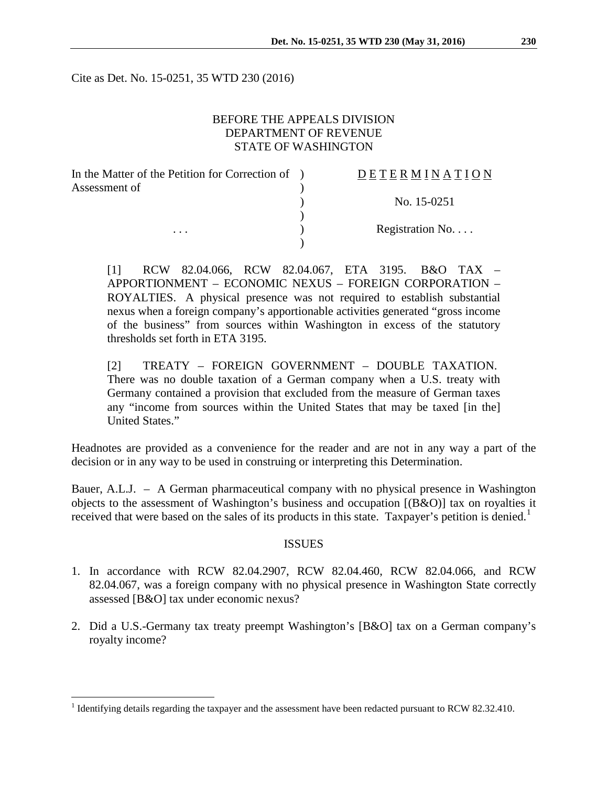Cite as Det. No. 15-0251, 35 WTD 230 (2016)

## BEFORE THE APPEALS DIVISION DEPARTMENT OF REVENUE STATE OF WASHINGTON

| In the Matter of the Petition for Correction of | DETERMINATION   |
|-------------------------------------------------|-----------------|
| Assessment of                                   |                 |
|                                                 | No. 15-0251     |
|                                                 |                 |
| $\cdots$                                        | Registration No |
|                                                 |                 |

[1] RCW 82.04.066, RCW 82.04.067, ETA 3195. B&O TAX – APPORTIONMENT – ECONOMIC NEXUS – FOREIGN CORPORATION – ROYALTIES. A physical presence was not required to establish substantial nexus when a foreign company's apportionable activities generated "gross income of the business" from sources within Washington in excess of the statutory thresholds set forth in ETA 3195.

[2] TREATY – FOREIGN GOVERNMENT – DOUBLE TAXATION. There was no double taxation of a German company when a U.S. treaty with Germany contained a provision that excluded from the measure of German taxes any "income from sources within the United States that may be taxed [in the] United States."

Headnotes are provided as a convenience for the reader and are not in any way a part of the decision or in any way to be used in construing or interpreting this Determination.

Bauer, A.L.J. – A German pharmaceutical company with no physical presence in Washington objects to the assessment of Washington's business and occupation [(B&O)] tax on royalties it received that were based on the sales of its products in this state. Taxpayer's petition is denied.<sup>[1](#page-0-0)</sup>

#### ISSUES

- 1. In accordance with RCW 82.04.2907, RCW 82.04.460, RCW 82.04.066, and RCW 82.04.067, was a foreign company with no physical presence in Washington State correctly assessed [B&O] tax under economic nexus?
- 2. Did a U.S.-Germany tax treaty preempt Washington's [B&O] tax on a German company's royalty income?

<span id="page-0-0"></span><sup>&</sup>lt;sup>1</sup> Identifying details regarding the taxpayer and the assessment have been redacted pursuant to RCW 82.32.410.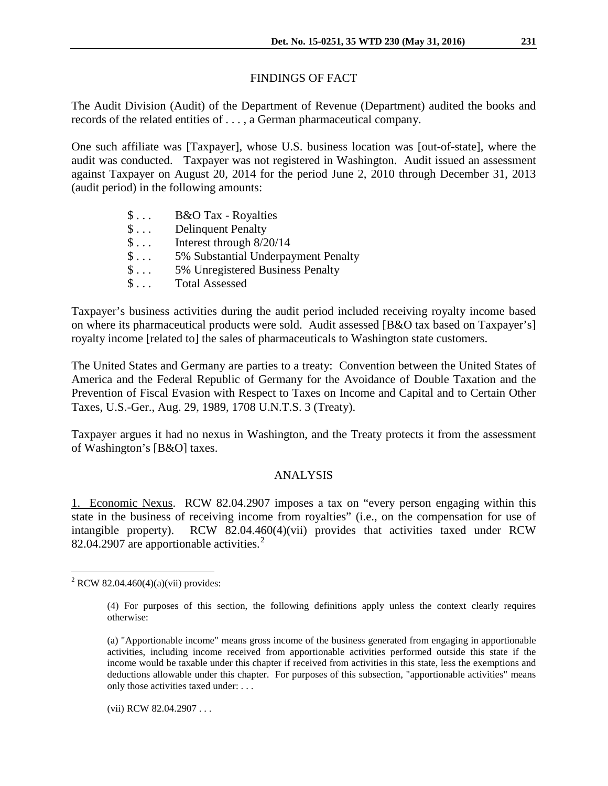# FINDINGS OF FACT

The Audit Division (Audit) of the Department of Revenue (Department) audited the books and records of the related entities of . . . , a German pharmaceutical company.

One such affiliate was [Taxpayer], whose U.S. business location was [out-of-state], where the audit was conducted. Taxpayer was not registered in Washington. Audit issued an assessment against Taxpayer on August 20, 2014 for the period June 2, 2010 through December 31, 2013 (audit period) in the following amounts:

| $\mathbb{S}$       | <b>B&amp;O</b> Tax - Royalties      |
|--------------------|-------------------------------------|
| $\$\ldots$         | <b>Delinquent Penalty</b>           |
| $\mathsf{S} \dots$ | Interest through 8/20/14            |
| $\mathsf{S} \dots$ | 5% Substantial Underpayment Penalty |
| $\mathsf{S} \dots$ | 5% Unregistered Business Penalty    |
| $\mathsf{S} \dots$ | <b>Total Assessed</b>               |

Taxpayer's business activities during the audit period included receiving royalty income based on where its pharmaceutical products were sold. Audit assessed [B&O tax based on Taxpayer's] royalty income [related to] the sales of pharmaceuticals to Washington state customers.

The United States and Germany are parties to a treaty: Convention between the United States of America and the Federal Republic of Germany for the Avoidance of Double Taxation and the Prevention of Fiscal Evasion with Respect to Taxes on Income and Capital and to Certain Other Taxes, U.S.-Ger., Aug. 29, 1989, 1708 U.N.T.S. 3 (Treaty).

Taxpayer argues it had no nexus in Washington, and the Treaty protects it from the assessment of Washington's [B&O] taxes.

# ANALYSIS

1. Economic Nexus. RCW 82.04.2907 imposes a tax on "every person engaging within this state in the business of receiving income from royalties" (i.e., on the compensation for use of intangible property). RCW 82.04.460(4)(vii) provides that activities taxed under RCW 8[2](#page-1-0).04.2907 are apportionable activities.<sup>2</sup>

(vii) RCW 82.04.2907 . . .

<span id="page-1-0"></span> $2$  RCW 82.04.460(4)(a)(vii) provides:

<sup>(4)</sup> For purposes of this section, the following definitions apply unless the context clearly requires otherwise:

<sup>(</sup>a) "Apportionable income" means gross income of the business generated from engaging in apportionable activities, including income received from apportionable activities performed outside this state if the income would be taxable under this chapter if received from activities in this state, less the exemptions and deductions allowable under this chapter. For purposes of this subsection, "apportionable activities" means only those activities taxed under: . . .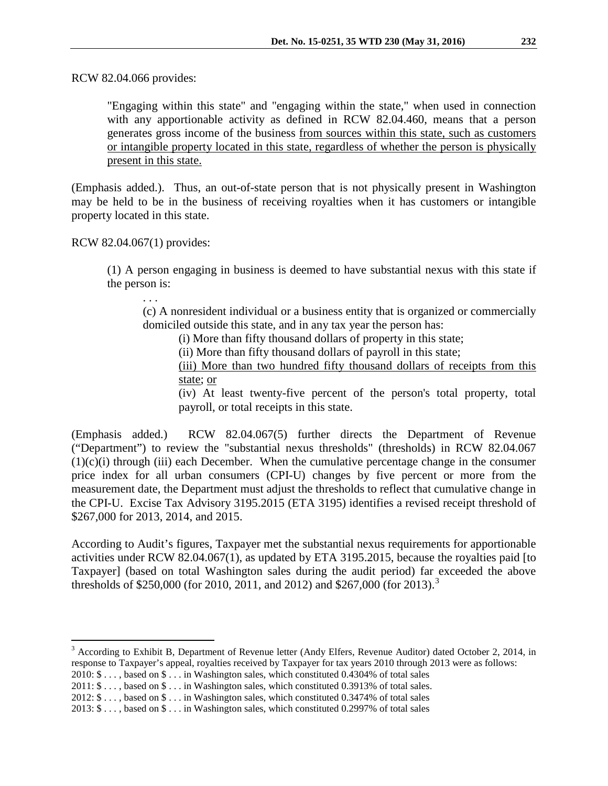RCW 82.04.066 provides:

"Engaging within this state" and "engaging within the state," when used in connection with any apportionable activity as defined in RCW 82.04.460, means that a person generates gross income of the business from sources within this state, such as customers or intangible property located in this state, regardless of whether the person is physically present in this state.

(Emphasis added.). Thus, an out-of-state person that is not physically present in Washington may be held to be in the business of receiving royalties when it has customers or intangible property located in this state.

RCW 82.04.067(1) provides:

. . .

(1) A person engaging in business is deemed to have substantial nexus with this state if the person is:

(c) A nonresident individual or a business entity that is organized or commercially domiciled outside this state, and in any tax year the person has:

(i) More than fifty thousand dollars of property in this state;

(ii) More than fifty thousand dollars of payroll in this state;

(iii) More than two hundred fifty thousand dollars of receipts from this state; or

(iv) At least twenty-five percent of the person's total property, total payroll, or total receipts in this state.

(Emphasis added.) RCW 82.04.067(5) further directs the Department of Revenue ("Department") to review the "substantial nexus thresholds" (thresholds) in RCW 82.04.067  $(1)(c)(i)$  through (iii) each December. When the cumulative percentage change in the consumer price index for all urban consumers (CPI-U) changes by five percent or more from the measurement date, the Department must adjust the thresholds to reflect that cumulative change in the CPI-U. Excise Tax Advisory 3195.2015 (ETA 3195) identifies a revised receipt threshold of \$267,000 for 2013, 2014, and 2015.

According to Audit's figures, Taxpayer met the substantial nexus requirements for apportionable activities under RCW 82.04.067(1), as updated by ETA 3195.2015, because the royalties paid [to Taxpayer] (based on total Washington sales during the audit period) far exceeded the above thresholds of \$250,000 (for 2010, 2011, and 2012) and \$267,000 (for 201[3](#page-2-0)).<sup>3</sup>

<span id="page-2-0"></span><sup>3</sup> According to Exhibit B, Department of Revenue letter (Andy Elfers, Revenue Auditor) dated October 2, 2014, in response to Taxpayer's appeal, royalties received by Taxpayer for tax years 2010 through 2013 were as follows:

- 2010: \$ . . . , based on \$ . . . in Washington sales, which constituted 0.4304% of total sales
- 2011: \$ . . . , based on \$ . . . in Washington sales, which constituted 0.3913% of total sales.

<sup>2012: \$ . . . ,</sup> based on \$ . . . in Washington sales, which constituted 0.3474% of total sales

<sup>2013: \$ . . . ,</sup> based on \$ . . . in Washington sales, which constituted 0.2997% of total sales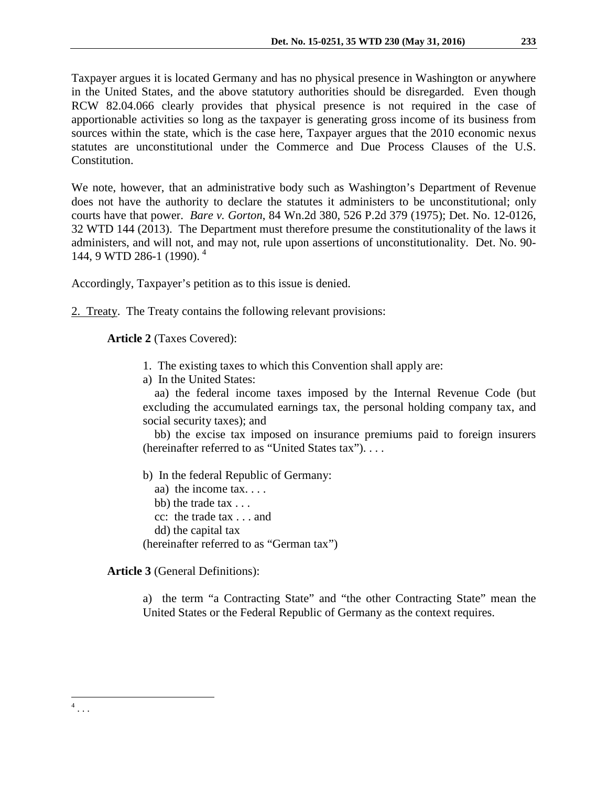Taxpayer argues it is located Germany and has no physical presence in Washington or anywhere in the United States, and the above statutory authorities should be disregarded. Even though RCW 82.04.066 clearly provides that physical presence is not required in the case of apportionable activities so long as the taxpayer is generating gross income of its business from sources within the state, which is the case here, Taxpayer argues that the 2010 economic nexus statutes are unconstitutional under the Commerce and Due Process Clauses of the U.S. Constitution.

We note, however, that an administrative body such as Washington's Department of Revenue does not have the authority to declare the statutes it administers to be unconstitutional; only courts have that power. *Bare v. Gorton*, 84 Wn.2d 380, 526 P.2d 379 (1975); Det. No. 12-0126, 32 WTD 144 (2013). The Department must therefore presume the constitutionality of the laws it administers, and will not, and may not, rule upon assertions of unconstitutionality. Det. No. 90- 144, 9 WTD 286-1 (1990). [4](#page-3-0)

Accordingly, Taxpayer's petition as to this issue is denied.

2. Treaty. The Treaty contains the following relevant provisions:

**Article 2** (Taxes Covered):

- 1. The existing taxes to which this Convention shall apply are:
- a) In the United States:

aa) the federal income taxes imposed by the Internal Revenue Code (but excluding the accumulated earnings tax, the personal holding company tax, and social security taxes); and

bb) the excise tax imposed on insurance premiums paid to foreign insurers (hereinafter referred to as "United States tax"). . . .

b) In the federal Republic of Germany:

aa) the income tax. . . .

- bb) the trade tax . . .
- cc: the trade tax . . . and
- dd) the capital tax

(hereinafter referred to as "German tax")

**Article 3** (General Definitions):

<span id="page-3-0"></span> $4 \ldots$ 

a) the term "a Contracting State" and "the other Contracting State" mean the United States or the Federal Republic of Germany as the context requires.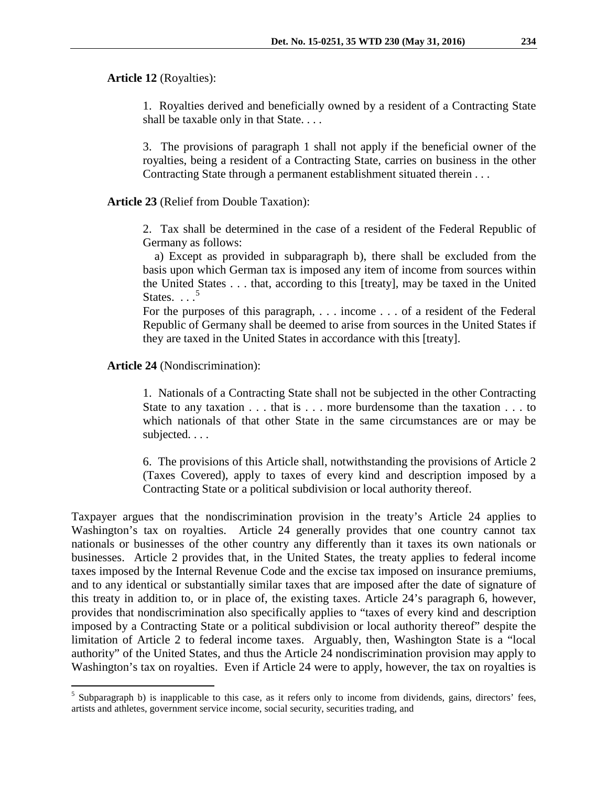#### **Article 12** (Royalties):

1. Royalties derived and beneficially owned by a resident of a Contracting State shall be taxable only in that State. . . .

3. The provisions of paragraph 1 shall not apply if the beneficial owner of the royalties, being a resident of a Contracting State, carries on business in the other Contracting State through a permanent establishment situated therein . . .

### **Article 23** (Relief from Double Taxation):

2. Tax shall be determined in the case of a resident of the Federal Republic of Germany as follows:

a) Except as provided in subparagraph b), there shall be excluded from the basis upon which German tax is imposed any item of income from sources within the United States . . . that, according to this [treaty], may be taxed in the United States.  $\frac{5}{2}$  $\frac{5}{2}$  $\frac{5}{2}$ 

For the purposes of this paragraph, . . . income . . . of a resident of the Federal Republic of Germany shall be deemed to arise from sources in the United States if they are taxed in the United States in accordance with this [treaty].

### **Article 24** (Nondiscrimination):

1. Nationals of a Contracting State shall not be subjected in the other Contracting State to any taxation . . . that is . . . more burdensome than the taxation . . . to which nationals of that other State in the same circumstances are or may be subjected. . . .

6. The provisions of this Article shall, notwithstanding the provisions of Article 2 (Taxes Covered), apply to taxes of every kind and description imposed by a Contracting State or a political subdivision or local authority thereof.

Taxpayer argues that the nondiscrimination provision in the treaty's Article 24 applies to Washington's tax on royalties. Article 24 generally provides that one country cannot tax nationals or businesses of the other country any differently than it taxes its own nationals or businesses. Article 2 provides that, in the United States, the treaty applies to federal income taxes imposed by the Internal Revenue Code and the excise tax imposed on insurance premiums, and to any identical or substantially similar taxes that are imposed after the date of signature of this treaty in addition to, or in place of, the existing taxes. Article 24's paragraph 6, however, provides that nondiscrimination also specifically applies to "taxes of every kind and description imposed by a Contracting State or a political subdivision or local authority thereof" despite the limitation of Article 2 to federal income taxes. Arguably, then, Washington State is a "local authority" of the United States, and thus the Article 24 nondiscrimination provision may apply to Washington's tax on royalties. Even if Article 24 were to apply, however, the tax on royalties is

<span id="page-4-0"></span><sup>&</sup>lt;sup>5</sup> Subparagraph b) is inapplicable to this case, as it refers only to income from dividends, gains, directors' fees, artists and athletes, government service income, social security, securities trading, and